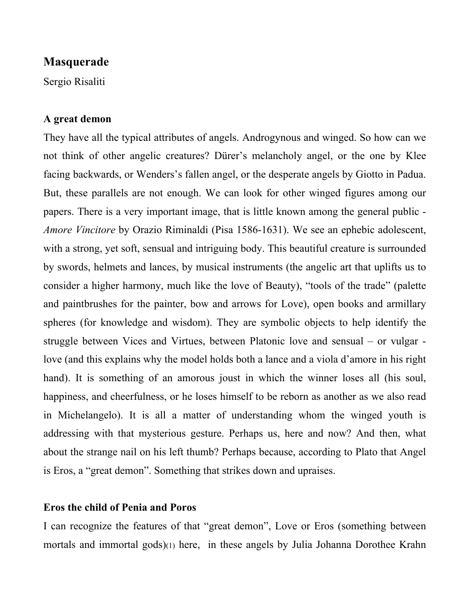# **Masquerade**

Sergio Risaliti

### **A great demon**

They have all the typical attributes of angels. Androgynous and winged. So how can we not think of other angelic creatures? Dürer's melancholy angel, or the one by Klee facing backwards, or Wenders's fallen angel, or the desperate angels by Giotto in Padua. But, these parallels are not enough. We can look for other winged figures among our papers. There is a very important image, that is little known among the general public - *Amore Vincitore* by Orazio Riminaldi (Pisa 1586-1631). We see an ephebic adolescent, with a strong, yet soft, sensual and intriguing body. This beautiful creature is surrounded by swords, helmets and lances, by musical instruments (the angelic art that uplifts us to consider a higher harmony, much like the love of Beauty), "tools of the trade" (palette and paintbrushes for the painter, bow and arrows for Love), open books and armillary spheres (for knowledge and wisdom). They are symbolic objects to help identify the struggle between Vices and Virtues, between Platonic love and sensual – or vulgar love (and this explains why the model holds both a lance and a viola d'amore in his right hand). It is something of an amorous joust in which the winner loses all (his soul, happiness, and cheerfulness, or he loses himself to be reborn as another as we also read in Michelangelo). It is all a matter of understanding whom the winged youth is addressing with that mysterious gesture. Perhaps us, here and now? And then, what about the strange nail on his left thumb? Perhaps because, according to Plato that Angel is Eros, a "great demon". Something that strikes down and upraises.

### **Eros the child of Penia and Poros**

I can recognize the features of that "great demon", Love or Eros (something between mortals and immortal gods)(1) here, in these angels by Julia Johanna Dorothee Krahn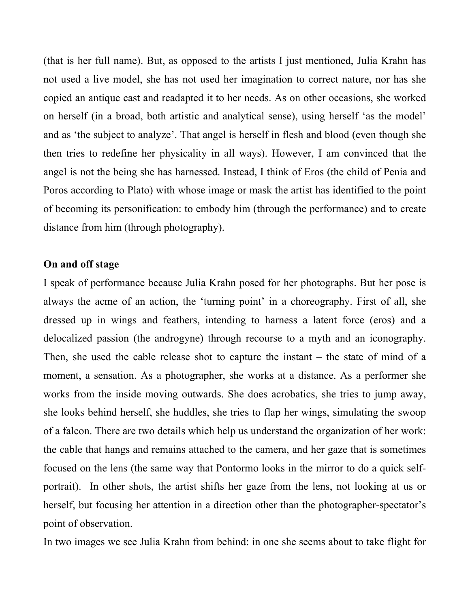(that is her full name). But, as opposed to the artists I just mentioned, Julia Krahn has not used a live model, she has not used her imagination to correct nature, nor has she copied an antique cast and readapted it to her needs. As on other occasions, she worked on herself (in a broad, both artistic and analytical sense), using herself 'as the model' and as 'the subject to analyze'. That angel is herself in flesh and blood (even though she then tries to redefine her physicality in all ways). However, I am convinced that the angel is not the being she has harnessed. Instead, I think of Eros (the child of Penia and Poros according to Plato) with whose image or mask the artist has identified to the point of becoming its personification: to embody him (through the performance) and to create distance from him (through photography).

### **On and off stage**

I speak of performance because Julia Krahn posed for her photographs. But her pose is always the acme of an action, the 'turning point' in a choreography. First of all, she dressed up in wings and feathers, intending to harness a latent force (eros) and a delocalized passion (the androgyne) through recourse to a myth and an iconography. Then, she used the cable release shot to capture the instant – the state of mind of a moment, a sensation. As a photographer, she works at a distance. As a performer she works from the inside moving outwards. She does acrobatics, she tries to jump away, she looks behind herself, she huddles, she tries to flap her wings, simulating the swoop of a falcon. There are two details which help us understand the organization of her work: the cable that hangs and remains attached to the camera, and her gaze that is sometimes focused on the lens (the same way that Pontormo looks in the mirror to do a quick selfportrait). In other shots, the artist shifts her gaze from the lens, not looking at us or herself, but focusing her attention in a direction other than the photographer-spectator's point of observation.

In two images we see Julia Krahn from behind: in one she seems about to take flight for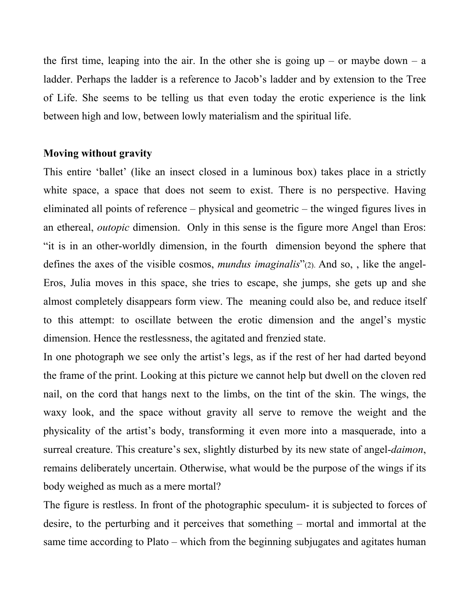the first time, leaping into the air. In the other she is going up – or maybe down – a ladder. Perhaps the ladder is a reference to Jacob's ladder and by extension to the Tree of Life. She seems to be telling us that even today the erotic experience is the link between high and low, between lowly materialism and the spiritual life.

## **Moving without gravity**

This entire 'ballet' (like an insect closed in a luminous box) takes place in a strictly white space, a space that does not seem to exist. There is no perspective. Having eliminated all points of reference – physical and geometric – the winged figures lives in an ethereal, *outopic* dimension. Only in this sense is the figure more Angel than Eros: "it is in an other-worldly dimension, in the fourth dimension beyond the sphere that defines the axes of the visible cosmos, *mundus imaginalis*"(2). And so, , like the angel-Eros, Julia moves in this space, she tries to escape, she jumps, she gets up and she almost completely disappears form view. The meaning could also be, and reduce itself to this attempt: to oscillate between the erotic dimension and the angel's mystic dimension. Hence the restlessness, the agitated and frenzied state.

In one photograph we see only the artist's legs, as if the rest of her had darted beyond the frame of the print. Looking at this picture we cannot help but dwell on the cloven red nail, on the cord that hangs next to the limbs, on the tint of the skin. The wings, the waxy look, and the space without gravity all serve to remove the weight and the physicality of the artist's body, transforming it even more into a masquerade, into a surreal creature. This creature's sex, slightly disturbed by its new state of angel-*daimon*, remains deliberately uncertain. Otherwise, what would be the purpose of the wings if its body weighed as much as a mere mortal?

The figure is restless. In front of the photographic speculum- it is subjected to forces of desire, to the perturbing and it perceives that something – mortal and immortal at the same time according to Plato – which from the beginning subjugates and agitates human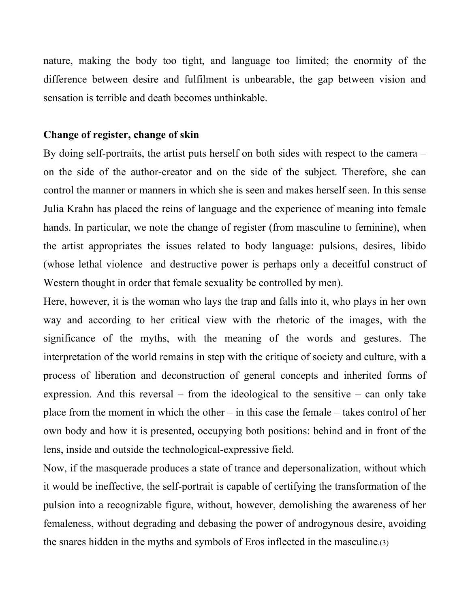nature, making the body too tight, and language too limited; the enormity of the difference between desire and fulfilment is unbearable, the gap between vision and sensation is terrible and death becomes unthinkable.

### **Change of register, change of skin**

By doing self-portraits, the artist puts herself on both sides with respect to the camera – on the side of the author-creator and on the side of the subject. Therefore, she can control the manner or manners in which she is seen and makes herself seen. In this sense Julia Krahn has placed the reins of language and the experience of meaning into female hands. In particular, we note the change of register (from masculine to feminine), when the artist appropriates the issues related to body language: pulsions, desires, libido (whose lethal violence and destructive power is perhaps only a deceitful construct of Western thought in order that female sexuality be controlled by men).

Here, however, it is the woman who lays the trap and falls into it, who plays in her own way and according to her critical view with the rhetoric of the images, with the significance of the myths, with the meaning of the words and gestures. The interpretation of the world remains in step with the critique of society and culture, with a process of liberation and deconstruction of general concepts and inherited forms of expression. And this reversal – from the ideological to the sensitive – can only take place from the moment in which the other – in this case the female – takes control of her own body and how it is presented, occupying both positions: behind and in front of the lens, inside and outside the technological-expressive field.

Now, if the masquerade produces a state of trance and depersonalization, without which it would be ineffective, the self-portrait is capable of certifying the transformation of the pulsion into a recognizable figure, without, however, demolishing the awareness of her femaleness, without degrading and debasing the power of androgynous desire, avoiding the snares hidden in the myths and symbols of Eros inflected in the masculine.(3)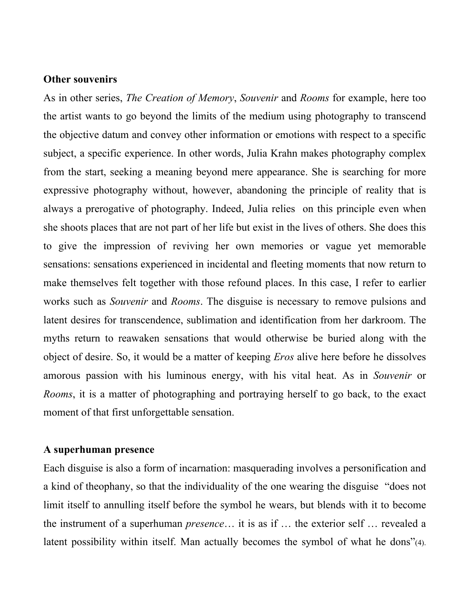#### **Other souvenirs**

As in other series, *The Creation of Memory*, *Souvenir* and *Rooms* for example, here too the artist wants to go beyond the limits of the medium using photography to transcend the objective datum and convey other information or emotions with respect to a specific subject, a specific experience. In other words, Julia Krahn makes photography complex from the start, seeking a meaning beyond mere appearance. She is searching for more expressive photography without, however, abandoning the principle of reality that is always a prerogative of photography. Indeed, Julia relies on this principle even when she shoots places that are not part of her life but exist in the lives of others. She does this to give the impression of reviving her own memories or vague yet memorable sensations: sensations experienced in incidental and fleeting moments that now return to make themselves felt together with those refound places. In this case, I refer to earlier works such as *Souvenir* and *Rooms*. The disguise is necessary to remove pulsions and latent desires for transcendence, sublimation and identification from her darkroom. The myths return to reawaken sensations that would otherwise be buried along with the object of desire. So, it would be a matter of keeping *Eros* alive here before he dissolves amorous passion with his luminous energy, with his vital heat. As in *Souvenir* or *Rooms*, it is a matter of photographing and portraying herself to go back, to the exact moment of that first unforgettable sensation.

### **A superhuman presence**

Each disguise is also a form of incarnation: masquerading involves a personification and a kind of theophany, so that the individuality of the one wearing the disguise "does not limit itself to annulling itself before the symbol he wears, but blends with it to become the instrument of a superhuman *presence*… it is as if … the exterior self … revealed a latent possibility within itself. Man actually becomes the symbol of what he dons"(4).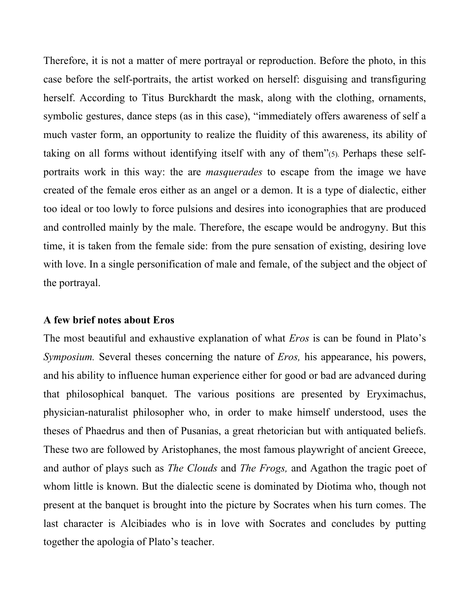Therefore, it is not a matter of mere portrayal or reproduction. Before the photo, in this case before the self-portraits, the artist worked on herself: disguising and transfiguring herself. According to Titus Burckhardt the mask, along with the clothing, ornaments, symbolic gestures, dance steps (as in this case), "immediately offers awareness of self a much vaster form, an opportunity to realize the fluidity of this awareness, its ability of taking on all forms without identifying itself with any of them"(5). Perhaps these selfportraits work in this way: the are *masquerades* to escape from the image we have created of the female eros either as an angel or a demon. It is a type of dialectic, either too ideal or too lowly to force pulsions and desires into iconographies that are produced and controlled mainly by the male. Therefore, the escape would be androgyny. But this time, it is taken from the female side: from the pure sensation of existing, desiring love with love. In a single personification of male and female, of the subject and the object of the portrayal.

#### **A few brief notes about Eros**

The most beautiful and exhaustive explanation of what *Eros* is can be found in Plato's *Symposium.* Several theses concerning the nature of *Eros,* his appearance, his powers, and his ability to influence human experience either for good or bad are advanced during that philosophical banquet. The various positions are presented by Eryximachus, physician-naturalist philosopher who, in order to make himself understood, uses the theses of Phaedrus and then of Pusanias, a great rhetorician but with antiquated beliefs. These two are followed by Aristophanes, the most famous playwright of ancient Greece, and author of plays such as *The Clouds* and *The Frogs,* and Agathon the tragic poet of whom little is known. But the dialectic scene is dominated by Diotima who, though not present at the banquet is brought into the picture by Socrates when his turn comes. The last character is Alcibiades who is in love with Socrates and concludes by putting together the apologia of Plato's teacher.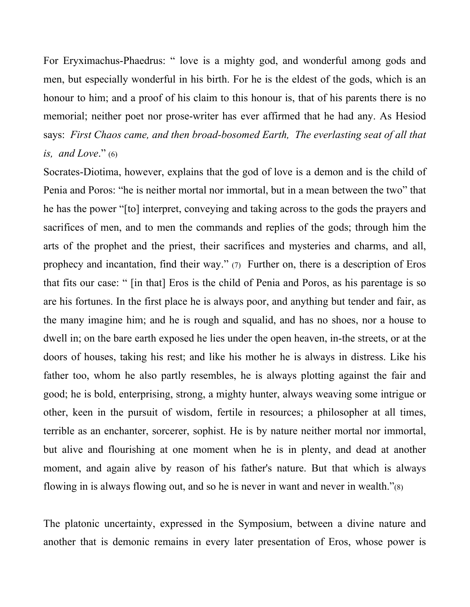For Eryximachus-Phaedrus: " love is a mighty god, and wonderful among gods and men, but especially wonderful in his birth. For he is the eldest of the gods, which is an honour to him; and a proof of his claim to this honour is, that of his parents there is no memorial; neither poet nor prose-writer has ever affirmed that he had any. As Hesiod says: *First Chaos came, and then broad-bosomed Earth, The everlasting seat of all that is, and Love.*"  $(6)$ 

Socrates-Diotima, however, explains that the god of love is a demon and is the child of Penia and Poros: "he is neither mortal nor immortal, but in a mean between the two" that he has the power "[to] interpret, conveying and taking across to the gods the prayers and sacrifices of men, and to men the commands and replies of the gods; through him the arts of the prophet and the priest, their sacrifices and mysteries and charms, and all, prophecy and incantation, find their way." (7) Further on, there is a description of Eros that fits our case: " [in that] Eros is the child of Penia and Poros, as his parentage is so are his fortunes. In the first place he is always poor, and anything but tender and fair, as the many imagine him; and he is rough and squalid, and has no shoes, nor a house to dwell in; on the bare earth exposed he lies under the open heaven, in-the streets, or at the doors of houses, taking his rest; and like his mother he is always in distress. Like his father too, whom he also partly resembles, he is always plotting against the fair and good; he is bold, enterprising, strong, a mighty hunter, always weaving some intrigue or other, keen in the pursuit of wisdom, fertile in resources; a philosopher at all times, terrible as an enchanter, sorcerer, sophist. He is by nature neither mortal nor immortal, but alive and flourishing at one moment when he is in plenty, and dead at another moment, and again alive by reason of his father's nature. But that which is always flowing in is always flowing out, and so he is never in want and never in wealth."(8)

The platonic uncertainty, expressed in the Symposium, between a divine nature and another that is demonic remains in every later presentation of Eros, whose power is